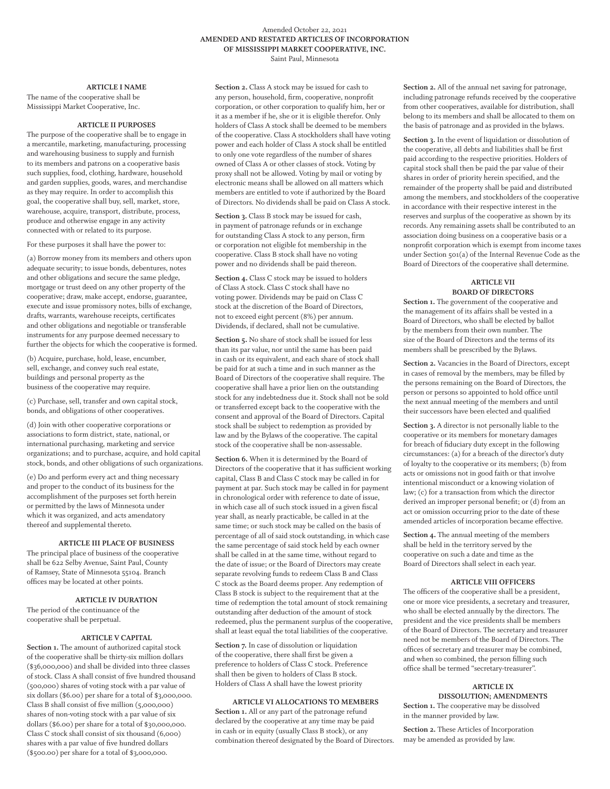#### Amended October 22, 2021 **AMENDED AND RESTATED ARTICLES OF INCORPORATION OF MISSISSIPPI MARKET COOPERATIVE, INC.**  Saint Paul, Minnesota

#### **ARTICLE I NAME**

The name of the cooperative shall be Mississippi Market Cooperative, Inc.

## **ARTICLE II PURPOSES**

The purpose of the cooperative shall be to engage in a mercantile, marketing, manufacturing, processing and warehousing business to supply and furnish to its members and patrons on a cooperative basis such supplies, food, clothing, hardware, household and garden supplies, goods, wares, and merchandise as they may require. In order to accomplish this goal, the cooperative shall buy, sell, market, store, warehouse, acquire, transport, distribute, process, produce and otherwise engage in any activity connected with or related to its purpose.

For these purposes it shall have the power to:

(a) Borrow money from its members and others upon adequate security; to issue bonds, debentures, notes and other obligations and secure the same pledge, mortgage or trust deed on any other property of the cooperative; draw, make accept, endorse, guarantee, execute and issue promissory notes, bills of exchange, drafts, warrants, warehouse receipts, certificates and other obligations and negotiable or transferable instruments for any purpose deemed necessary to further the objects for which the cooperative is formed.

(b) Acquire, purchase, hold, lease, encumber, sell, exchange, and convey such real estate, buildings and personal property as the business of the cooperative may require.

(c) Purchase, sell, transfer and own capital stock, bonds, and obligations of other cooperatives.

(d) Join with other cooperative corporations or associations to form district, state, national, or international purchasing, marketing and service organizations; and to purchase, acquire, and hold capital stock, bonds, and other obligations of such organizations.

(e) Do and perform every act and thing necessary and proper to the conduct of its business for the accomplishment of the purposes set forth herein or permitted by the laws of Minnesota under which it was organized, and acts amendatory thereof and supplemental thereto.

# **ARTICLE III PLACE OF BUSINESS**

The principal place of business of the cooperative shall be 622 Selby Avenue, Saint Paul, County of Ramsey, State of Minnesota 55104. Branch offices may be located at other points.

## **ARTICLE IV DURATION**

The period of the continuance of the cooperative shall be perpetual.

## **ARTICLE V CAPITAL**

Section 1. The amount of authorized capital stock of the cooperative shall be thirty-six million dollars (\$36,000,000) and shall be divided into three classes of stock. Class A shall consist of five hundred thousand (500,000) shares of voting stock with a par value of six dollars (\$6.00) per share for a total of \$3,000,000. Class B shall consist of five million (5,000,000) shares of non-voting stock with a par value of six dollars (\$6.00) per share for a total of \$30,000,000. Class C stock shall consist of six thousand (6,000) shares with a par value of five hundred dollars (\$500.00) per share for a total of \$3,000,000.

**Section 2.** Class A stock may be issued for cash to any person, household, firm, cooperative, nonprofit corporation, or other corporation to qualify him, her or it as a member if he, she or it is eligible therefor. Only holders of Class A stock shall be deemed to be members of the cooperative. Class A stockholders shall have voting power and each holder of Class A stock shall be entitled to only one vote regardless of the number of shares owned of Class A or other classes of stock. Voting by proxy shall not be allowed. Voting by mail or voting by electronic means shall be allowed on all matters which members are entitled to vote if authorized by the Board of Directors. No dividends shall be paid on Class A stock.

**Section 3.** Class B stock may be issued for cash, in payment of patronage refunds or in exchange for outstanding Class A stock to any person, firm or corporation not eligible fot membership in the cooperative. Class B stock shall have no voting power and no dividends shall be paid thereon.

**Section 4.** Class C stock may be issued to holders of Class A stock. Class C stock shall have no voting power. Dividends may be paid on Class C stock at the discretion of the Board of Directors, not to exceed eight percent (8%) per annum. Dividends, if declared, shall not be cumulative.

**Section 5.** No share of stock shall be issued for less than its par value, nor until the same has been paid in cash or its equivalent, and each share of stock shall be paid for at such a time and in such manner as the Board of Directors of the cooperative shall require. The cooperative shall have a prior lien on the outstanding stock for any indebtedness due it. Stock shall not be sold or transferred except back to the cooperative with the consent and approval of the Board of Directors. Capital stock shall be subject to redemption as provided by law and by the Bylaws of the cooperative. The capital stock of the cooperative shall be non-assessable.

**Section 6.** When it is determined by the Board of Directors of the cooperative that it has sufficient working capital, Class B and Class C stock may be called in for payment at par. Such stock may be called in for payment in chronological order with reference to date of issue, in which case all of such stock issued in a given fiscal year shall, as nearly practicable, be called in at the same time; or such stock may be called on the basis of percentage of all of said stock outstanding, in which case the same percentage of said stock held by each owner shall be called in at the same time, without regard to the date of issue; or the Board of Directors may create separate revolving funds to redeem Class B and Class C stock as the Board deems proper. Any redemption of Class B stock is subject to the requirement that at the time of redemption the total amount of stock remaining outstanding after deduction of the amount of stock redeemed, plus the permanent surplus of the cooperative, shall at least equal the total liabilities of the cooperative.

**Section 7.** In case of dissolution or liquidation of the cooperative, there shall first be given a preference to holders of Class C stock. Preference shall then be given to holders of Class B stock. Holders of Class A shall have the lowest priority

#### **ARTICLE VI ALLOCATIONS TO MEMBERS**

**Section 1.** All or any part of the patronage refund declared by the cooperative at any time may be paid in cash or in equity (usually Class B stock), or any combination thereof designated by the Board of Directors. **Section 2.** All of the annual net saving for patronage, including patronage refunds received by the cooperative from other cooperatives, available for distribution, shall belong to its members and shall be allocated to them on the basis of patronage and as provided in the bylaws.

**Section 3.** In the event of liquidation or dissolution of the cooperative, all debts and liabilities shall be first paid according to the respective priorities. Holders of capital stock shall then be paid the par value of their shares in order of priority herein specified, and the remainder of the property shall be paid and distributed among the members, and stockholders of the cooperative in accordance with their respective interest in the reserves and surplus of the cooperative as shown by its records. Any remaining assets shall be contributed to an association doing business on a cooperative basis or a nonprofit corporation which is exempt from income taxes under Section 501(a) of the Internal Revenue Code as the Board of Directors of the cooperative shall determine.

#### **ARTICLE VII BOARD OF DIRECTORS**

**Section 1.** The government of the cooperative and the management of its affairs shall be vested in a Board of Directors, who shall be elected by ballot by the members from their own number. The size of the Board of Directors and the terms of its members shall be prescribed by the Bylaws.

**Section 2.** Vacancies in the Board of Directors, except in cases of removal by the members, may be filled by the persons remaining on the Board of Directors, the person or persons so appointed to hold office until the next annual meeting of the members and until their successors have been elected and qualified

**Section 3.** A director is not personally liable to the cooperative or its members for monetary damages for breach of fiduciary duty except in the following circumstances: (a) for a breach of the director's duty of loyalty to the cooperative or its members; (b) from acts or omissions not in good faith or that involve intentional misconduct or a knowing violation of law; (c) for a transaction from which the director derived an improper personal benefit; or (d) from an act or omission occurring prior to the date of these amended articles of incorporation became effective.

**Section 4.** The annual meeting of the members shall be held in the territory served by the cooperative on such a date and time as the Board of Directors shall select in each year.

## **ARTICLE VIII OFFICERS**

The officers of the cooperative shall be a president, one or more vice presidents, a secretary and treasurer, who shall be elected annually by the directors. The president and the vice presidents shall be members of the Board of Directors. The secretary and treasurer need not be members of the Board of Directors. The offices of secretary and treasurer may be combined, and when so combined, the person filling such office shall be termed "secretary-treasurer".

#### **ARTICLE IX DISSOLUTION; AMENDMENTS**

**Section 1.** The cooperative may be dissolved in the manner provided by law.

**Section 2.** These Articles of Incorporation may be amended as provided by law.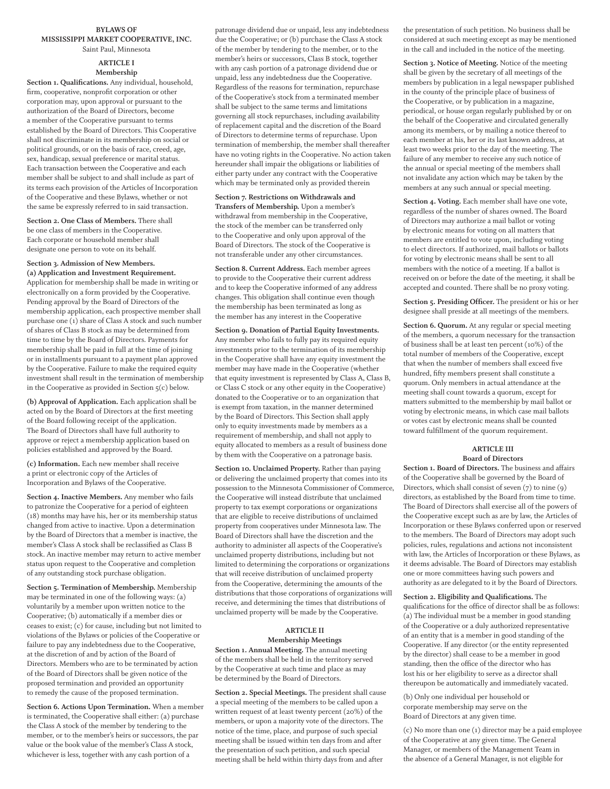#### **BYLAWS OF MISSISSIPPI MARKET COOPERATIVE, INC.**  Saint Paul, Minnesota

#### **ARTICLE I Membership**

**Section 1. Qualifications.** Any individual, household, firm, cooperative, nonprofit corporation or other corporation may, upon approval or pursuant to the authorization of the Board of Directors, become a member of the Cooperative pursuant to terms established by the Board of Directors. This Cooperative shall not discriminate in its membership on social or political grounds, or on the basis of race, creed, age, sex, handicap, sexual preference or marital status. Each transaction between the Cooperative and each member shall be subject to and shall include as part of its terms each provision of the Articles of Incorporation of the Cooperative and these Bylaws, whether or not the same be expressly referred to in said transaction.

**Section 2. One Class of Members.** There shall be one class of members in the Cooperative. Each corporate or household member shall designate one person to vote on its behalf.

# **Section 3. Admission of New Members.**

**(a) Application and Investment Requirement.**  Application for membership shall be made in writing or electronically on a form provided by the Cooperative. Pending approval by the Board of Directors of the membership application, each prospective member shall purchase one (1) share of Class A stock and such number of shares of Class B stock as may be determined from time to time by the Board of Directors. Payments for membership shall be paid in full at the time of joining or in installments pursuant to a payment plan approved by the Cooperative. Failure to make the required equity investment shall result in the termination of membership in the Cooperative as provided in Section 5(c) below.

**(b) Approval of Application.** Each application shall be acted on by the Board of Directors at the first meeting of the Board following receipt of the application. The Board of Directors shall have full authority to approve or reject a membership application based on policies established and approved by the Board.

**(c) Information.** Each new member shall receive a print or electronic copy of the Articles of Incorporation and Bylaws of the Cooperative.

**Section 4. Inactive Members.** Any member who fails to patronize the Cooperative for a period of eighteen (18) months may have his, her or its membership status changed from active to inactive. Upon a determination by the Board of Directors that a member is inactive, the member's Class A stock shall be reclassified as Class B stock. An inactive member may return to active member status upon request to the Cooperative and completion of any outstanding stock purchase obligation.

**Section 5. Termination of Membership.** Membership may be terminated in one of the following ways: (a) voluntarily by a member upon written notice to the Cooperative; (b) automatically if a member dies or ceases to exist; (c) for cause, including but not limited to violations of the Bylaws or policies of the Cooperative or failure to pay any indebtedness due to the Cooperative, at the discretion of and by action of the Board of Directors. Members who are to be terminated by action of the Board of Directors shall be given notice of the proposed termination and provided an opportunity to remedy the cause of the proposed termination.

**Section 6. Actions Upon Termination.** When a member is terminated, the Cooperative shall either: (a) purchase the Class A stock of the member by tendering to the member, or to the member's heirs or successors, the par value or the book value of the member's Class A stock, whichever is less, together with any cash portion of a

patronage dividend due or unpaid, less any indebtedness due the Cooperative; or (b) purchase the Class A stock of the member by tendering to the member, or to the member's heirs or successors, Class B stock, together with any cash portion of a patronage dividend due or unpaid, less any indebtedness due the Cooperative. Regardless of the reasons for termination, repurchase of the Cooperative's stock from a terminated member shall be subject to the same terms and limitations governing all stock repurchases, including availability of replacement capital and the discretion of the Board of Directors to determine terms of repurchase. Upon termination of membership, the member shall thereafter have no voting rights in the Cooperative. No action taken hereunder shall impair the obligations or liabilities of either party under any contract with the Cooperative which may be terminated only as provided therein

# **Section 7. Restrictions on Withdrawals and**

**Transfers of Membership.** Upon a member's withdrawal from membership in the Cooperative, the stock of the member can be transferred only to the Cooperative and only upon approval of the Board of Directors. The stock of the Cooperative is not transferable under any other circumstances.

**Section 8. Current Address.** Each member agrees to provide to the Cooperative their current address and to keep the Cooperative informed of any address changes. This obligation shall continue even though the membership has been terminated as long as the member has any interest in the Cooperative

**Section 9. Donation of Partial Equity Investments.**  Any member who fails to fully pay its required equity investments prior to the termination of its membership in the Cooperative shall have any equity investment the member may have made in the Cooperative (whether that equity investment is represented by Class A, Class B, or Class C stock or any other equity in the Cooperative) donated to the Cooperative or to an organization that is exempt from taxation, in the manner determined by the Board of Directors. This Section shall apply only to equity investments made by members as a requirement of membership, and shall not apply to equity allocated to members as a result of business done by them with the Cooperative on a patronage basis.

**Section 10. Unclaimed Property.** Rather than paying or delivering the unclaimed property that comes into its possession to the Minnesota Commissioner of Commerce, the Cooperative will instead distribute that unclaimed property to tax exempt corporations or organizations that are eligible to receive distributions of unclaimed property from cooperatives under Minnesota law. The Board of Directors shall have the discretion and the authority to administer all aspects of the Cooperative's unclaimed property distributions, including but not limited to determining the corporations or organizations that will receive distribution of unclaimed property from the Cooperative, determining the amounts of the distributions that those corporations of organizations will receive, and determining the times that distributions of unclaimed property will be made by the Cooperative.

# **ARTICLE II**

#### **Membership Meetings Section 1. Annual Meeting.** The annual meeting of the members shall be held in the territory served by the Cooperative at such time and place as may be determined by the Board of Directors.

**Section 2. Special Meetings.** The president shall cause a special meeting of the members to be called upon a written request of at least twenty percent (20%) of the members, or upon a majority vote of the directors. The notice of the time, place, and purpose of such special meeting shall be issued within ten days from and after the presentation of such petition, and such special meeting shall be held within thirty days from and after

the presentation of such petition. No business shall be considered at such meeting except as may be mentioned in the call and included in the notice of the meeting.

**Section 3. Notice of Meeting.** Notice of the meeting shall be given by the secretary of all meetings of the members by publication in a legal newspaper published in the county of the principle place of business of the Cooperative, or by publication in a magazine, periodical, or house organ regularly published by or on the behalf of the Cooperative and circulated generally among its members, or by mailing a notice thereof to each member at his, her or its last known address, at least two weeks prior to the day of the meeting. The failure of any member to receive any such notice of the annual or special meeting of the members shall not invalidate any action which may be taken by the members at any such annual or special meeting.

**Section 4. Voting.** Each member shall have one vote, regardless of the number of shares owned. The Board of Directors may authorize a mail ballot or voting by electronic means for voting on all matters that members are entitled to vote upon, including voting to elect directors. If authorized, mail ballots or ballots for voting by electronic means shall be sent to all members with the notice of a meeting. If a ballot is received on or before the date of the meeting, it shall be accepted and counted. There shall be no proxy voting.

**Section 5. Presiding Officer.** The president or his or her designee shall preside at all meetings of the members.

**Section 6. Quorum.** At any regular or special meeting of the members, a quorum necessary for the transaction of business shall be at least ten percent (10%) of the total number of members of the Cooperative, except that when the number of members shall exceed five hundred, fifty members present shall constitute a quorum. Only members in actual attendance at the meeting shall count towards a quorum, except for matters submitted to the membership by mail ballot or voting by electronic means, in which case mail ballots or votes cast by electronic means shall be counted toward fulfillment of the quorum requirement.

#### **ARTICLE III Board of Directors**

**Section 1. Board of Directors.** The business and affairs of the Cooperative shall be governed by the Board of Directors, which shall consist of seven (7) to nine (9) directors, as established by the Board from time to time. The Board of Directors shall exercise all of the powers of the Cooperative except such as are by law, the Articles of Incorporation or these Bylaws conferred upon or reserved to the members. The Board of Directors may adopt such policies, rules, regulations and actions not inconsistent with law, the Articles of Incorporation or these Bylaws, as it deems advisable. The Board of Directors may establish one or more committees having such powers and authority as are delegated to it by the Board of Directors.

**Section 2. Eligibility and Qualifications.** The qualifications for the office of director shall be as follows: (a) The individual must be a member in good standing of the Cooperative or a duly authorized representative of an entity that is a member in good standing of the Cooperative. If any director (or the entity represented by the director) shall cease to be a member in good standing, then the office of the director who has lost his or her eligibility to serve as a director shall thereupon be automatically and immediately vacated.

(b) Only one individual per household or corporate membership may serve on the Board of Directors at any given time.

(c) No more than one (1) director may be a paid employee of the Cooperative at any given time. The General Manager, or members of the Management Team in the absence of a General Manager, is not eligible for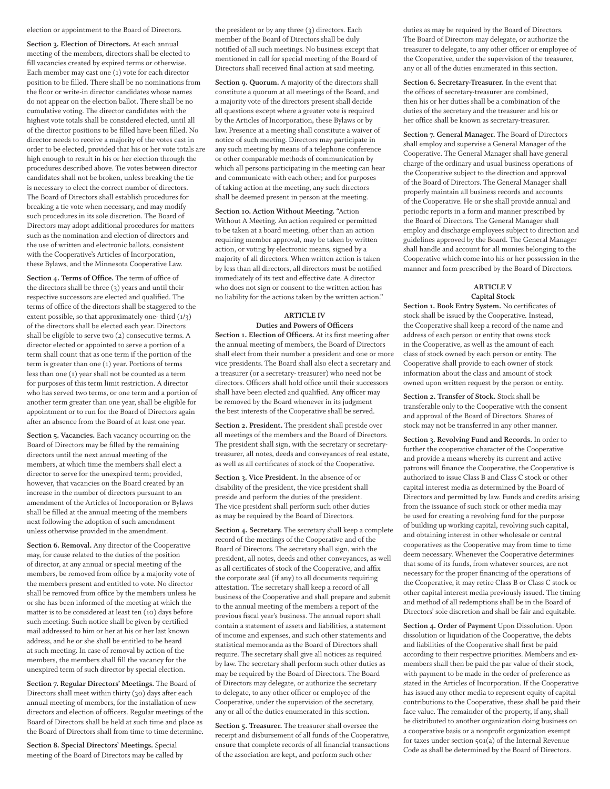#### election or appointment to the Board of Directors.

**Section 3. Election of Directors.** At each annual meeting of the members, directors shall be elected to fill vacancies created by expired terms or otherwise. Each member may cast one (1) vote for each director position to be filled. There shall be no nominations from the floor or write-in director candidates whose names do not appear on the election ballot. There shall be no cumulative voting. The director candidates with the highest vote totals shall be considered elected, until all of the director positions to be filled have been filled. No director needs to receive a majority of the votes cast in order to be elected, provided that his or her vote totals are high enough to result in his or her election through the procedures described above. Tie votes between director candidates shall not be broken, unless breaking the tie is necessary to elect the correct number of directors. The Board of Directors shall establish procedures for breaking a tie vote when necessary, and may modify such procedures in its sole discretion. The Board of Directors may adopt additional procedures for matters such as the nomination and election of directors and the use of written and electronic ballots, consistent with the Cooperative's Articles of Incorporation, these Bylaws, and the Minnesota Cooperative Law.

**Section 4. Terms of Office.** The term of office of the directors shall be three (3) years and until their respective successors are elected and qualified. The terms of office of the directors shall be staggered to the extent possible, so that approximately one- third (1/3) of the directors shall be elected each year. Directors shall be eligible to serve two (2) consecutive terms. A director elected or appointed to serve a portion of a term shall count that as one term if the portion of the term is greater than one (1) year. Portions of terms less than one (1) year shall not be counted as a term for purposes of this term limit restriction. A director who has served two terms, or one term and a portion of another term greater than one year, shall be eligible for appointment or to run for the Board of Directors again after an absence from the Board of at least one year.

**Section 5. Vacancies.** Each vacancy occurring on the Board of Directors may be filled by the remaining directors until the next annual meeting of the members, at which time the members shall elect a director to serve for the unexpired term; provided, however, that vacancies on the Board created by an increase in the number of directors pursuant to an amendment of the Articles of Incorporation or Bylaws shall be filled at the annual meeting of the members next following the adoption of such amendment unless otherwise provided in the amendment.

**Section 6. Removal.** Any director of the Cooperative may, for cause related to the duties of the position of director, at any annual or special meeting of the members, be removed from office by a majority vote of the members present and entitled to vote. No director shall be removed from office by the members unless he or she has been informed of the meeting at which the matter is to be considered at least ten (10) days before such meeting. Such notice shall be given by certified mail addressed to him or her at his or her last known address, and he or she shall be entitled to be heard at such meeting. In case of removal by action of the members, the members shall fill the vacancy for the unexpired term of such director by special election.

**Section 7. Regular Directors' Meetings.** The Board of Directors shall meet within thirty (30) days after each annual meeting of members, for the installation of new directors and election of officers. Regular meetings of the Board of Directors shall be held at such time and place as the Board of Directors shall from time to time determine.

**Section 8. Special Directors' Meetings.** Special meeting of the Board of Directors may be called by the president or by any three (3) directors. Each member of the Board of Directors shall be duly notified of all such meetings. No business except that mentioned in call for special meeting of the Board of Directors shall received final action at said meeting.

**Section 9. Quorum.** A majority of the directors shall constitute a quorum at all meetings of the Board, and a majority vote of the directors present shall decide all questions except where a greater vote is required by the Articles of Incorporation, these Bylaws or by law. Presence at a meeting shall constitute a waiver of notice of such meeting. Directors may participate in any such meeting by means of a telephone conference or other comparable methods of communication by which all persons participating in the meeting can hear and communicate with each other; and for purposes of taking action at the meeting, any such directors shall be deemed present in person at the meeting.

**Section 10. Action Without Meeting.** "Action Without A Meeting. An action required or permitted to be taken at a board meeting, other than an action requiring member approval, may be taken by written action, or voting by electronic means, signed by a majority of all directors. When written action is taken by less than all directors, all directors must be notified immediately of its text and effective date. A director who does not sign or consent to the written action has no liability for the actions taken by the written action."

#### **ARTICLE IV Duties and Powers of Officers**

**Section 1. Election of Officers.** At its first meeting after the annual meeting of members, the Board of Directors shall elect from their number a president and one or more vice presidents. The Board shall also elect a secretary and a treasurer (or a secretary- treasurer) who need not be directors. Officers shall hold office until their successors shall have been elected and qualified. Any officer may be removed by the Board whenever in its judgment the best interests of the Cooperative shall be served.

**Section 2. President.** The president shall preside over all meetings of the members and the Board of Directors. The president shall sign, with the secretary or secretarytreasurer, all notes, deeds and conveyances of real estate, as well as all certificates of stock of the Cooperative.

**Section 3. Vice President.** In the absence of or disability of the president, the vice president shall preside and perform the duties of the president. The vice president shall perform such other duties as may be required by the Board of Directors.

**Section 4. Secretary.** The secretary shall keep a complete record of the meetings of the Cooperative and of the Board of Directors. The secretary shall sign, with the president, all notes, deeds and other conveyances, as well as all certificates of stock of the Cooperative, and affix the corporate seal (if any) to all documents requiring attestation. The secretary shall keep a record of all business of the Cooperative and shall prepare and submit to the annual meeting of the members a report of the previous fiscal year's business. The annual report shall contain a statement of assets and liabilities, a statement of income and expenses, and such other statements and statistical memoranda as the Board of Directors shall require. The secretary shall give all notices as required by law. The secretary shall perform such other duties as may be required by the Board of Directors. The Board of Directors may delegate, or authorize the secretary to delegate, to any other officer or employee of the Cooperative, under the supervision of the secretary, any or all of the duties enumerated in this section.

**Section 5. Treasurer.** The treasurer shall oversee the receipt and disbursement of all funds of the Cooperative, ensure that complete records of all financial transactions of the association are kept, and perform such other

duties as may be required by the Board of Directors. The Board of Directors may delegate, or authorize the treasurer to delegate, to any other officer or employee of the Cooperative, under the supervision of the treasurer, any or all of the duties enumerated in this section.

**Section 6. Secretary-Treasurer.** In the event that the offices of secretary-treasurer are combined, then his or her duties shall be a combination of the duties of the secretary and the treasurer and his or her office shall be known as secretary-treasurer.

**Section 7. General Manager.** The Board of Directors shall employ and supervise a General Manager of the Cooperative. The General Manager shall have general charge of the ordinary and usual business operations of the Cooperative subject to the direction and approval of the Board of Directors. The General Manager shall properly maintain all business records and accounts of the Cooperative. He or she shall provide annual and periodic reports in a form and manner prescribed by the Board of Directors. The General Manager shall employ and discharge employees subject to direction and guidelines approved by the Board. The General Manager shall handle and account for all monies belonging to the Cooperative which come into his or her possession in the manner and form prescribed by the Board of Directors.

#### **ARTICLE V Capital Stock**

**Section 1. Book Entry System.** No certificates of stock shall be issued by the Cooperative. Instead, the Cooperative shall keep a record of the name and address of each person or entity that owns stock in the Cooperative, as well as the amount of each class of stock owned by each person or entity. The Cooperative shall provide to each owner of stock information about the class and amount of stock owned upon written request by the person or entity.

**Section 2. Transfer of Stock.** Stock shall be transferable only to the Cooperative with the consent and approval of the Board of Directors. Shares of stock may not be transferred in any other manner.

**Section 3. Revolving Fund and Records.** In order to further the cooperative character of the Cooperative and provide a means whereby its current and active patrons will finance the Cooperative, the Cooperative is authorized to issue Class B and Class C stock or other capital interest media as determined by the Board of Directors and permitted by law. Funds and credits arising from the issuance of such stock or other media may be used for creating a revolving fund for the purpose of building up working capital, revolving such capital, and obtaining interest in other wholesale or central cooperatives as the Cooperative may from time to time deem necessary. Whenever the Cooperative determines that some of its funds, from whatever sources, are not necessary for the proper financing of the operations of the Cooperative, it may retire Class B or Class C stock or other capital interest media previously issued. The timing and method of all redemptions shall be in the Board of Directors' sole discretion and shall be fair and equitable.

**Section 4. Order of Payment** Upon Dissolution. Upon dissolution or liquidation of the Cooperative, the debts and liabilities of the Cooperative shall first be paid according to their respective priorities. Members and exmembers shall then be paid the par value of their stock, with payment to be made in the order of preference as stated in the Articles of Incorporation. If the Cooperative has issued any other media to represent equity of capital contributions to the Cooperative, these shall be paid their face value. The remainder of the property, if any, shall be distributed to another organization doing business on a cooperative basis or a nonprofit organization exempt for taxes under section 501(a) of the Internal Revenue Code as shall be determined by the Board of Directors.